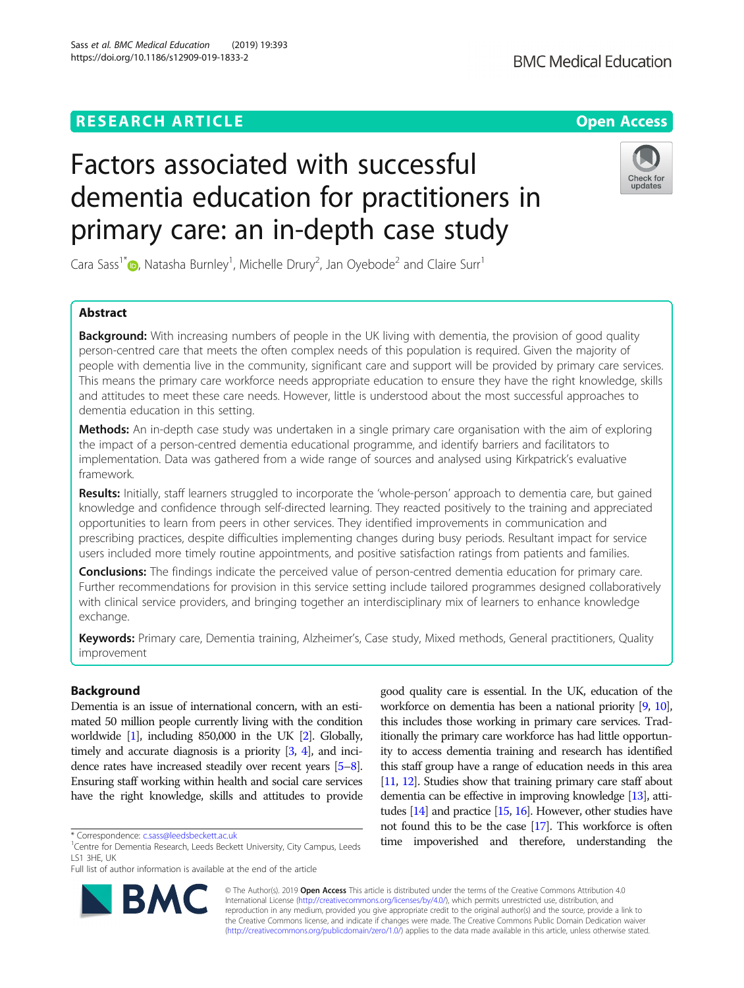## **RESEARCH ARTICLE Example 2014 12:30 The Contract of Contract ACCESS**

# Factors associated with successful dementia education for practitioners in primary care: an in-depth case study

Cara Sass<sup>1\*</sup> [,](http://orcid.org/0000-0001-5155-903X) Natasha Burnley<sup>1</sup>, Michelle Drury<sup>2</sup>, Jan Oyebode<sup>2</sup> and Claire Surr<sup>1</sup>

## Abstract

**Background:** With increasing numbers of people in the UK living with dementia, the provision of good quality person-centred care that meets the often complex needs of this population is required. Given the majority of people with dementia live in the community, significant care and support will be provided by primary care services. This means the primary care workforce needs appropriate education to ensure they have the right knowledge, skills and attitudes to meet these care needs. However, little is understood about the most successful approaches to dementia education in this setting.

Methods: An in-depth case study was undertaken in a single primary care organisation with the aim of exploring the impact of a person-centred dementia educational programme, and identify barriers and facilitators to implementation. Data was gathered from a wide range of sources and analysed using Kirkpatrick's evaluative framework.

Results: Initially, staff learners struggled to incorporate the 'whole-person' approach to dementia care, but gained knowledge and confidence through self-directed learning. They reacted positively to the training and appreciated opportunities to learn from peers in other services. They identified improvements in communication and prescribing practices, despite difficulties implementing changes during busy periods. Resultant impact for service users included more timely routine appointments, and positive satisfaction ratings from patients and families.

**Conclusions:** The findings indicate the perceived value of person-centred dementia education for primary care. Further recommendations for provision in this service setting include tailored programmes designed collaboratively with clinical service providers, and bringing together an interdisciplinary mix of learners to enhance knowledge exchange.

Keywords: Primary care, Dementia training, Alzheimer's, Case study, Mixed methods, General practitioners, Quality improvement

## Background

Dementia is an issue of international concern, with an estimated 50 million people currently living with the condition worldwide [\[1\]](#page-6-0), including 850,000 in the UK [\[2](#page-6-0)]. Globally, timely and accurate diagnosis is a priority [\[3,](#page-6-0) [4](#page-6-0)], and incidence rates have increased steadily over recent years [\[5](#page-6-0)–[8\]](#page-6-0). Ensuring staff working within health and social care services have the right knowledge, skills and attitudes to provide

\* Correspondence: [c.sass@leedsbeckett.ac.uk](mailto:c.sass@leedsbeckett.ac.uk) <sup>1</sup>

RA

© The Author(s). 2019 **Open Access** This article is distributed under the terms of the Creative Commons Attribution 4.0 International License [\(http://creativecommons.org/licenses/by/4.0/](http://creativecommons.org/licenses/by/4.0/)), which permits unrestricted use, distribution, and reproduction in any medium, provided you give appropriate credit to the original author(s) and the source, provide a link to the Creative Commons license, and indicate if changes were made. The Creative Commons Public Domain Dedication waiver [\(http://creativecommons.org/publicdomain/zero/1.0/](http://creativecommons.org/publicdomain/zero/1.0/)) applies to the data made available in this article, unless otherwise stated.

good quality care is essential. In the UK, education of the workforce on dementia has been a national priority [\[9,](#page-6-0) [10\]](#page-6-0), this includes those working in primary care services. Traditionally the primary care workforce has had little opportunity to access dementia training and research has identified this staff group have a range of education needs in this area [[11,](#page-6-0) [12](#page-6-0)]. Studies show that training primary care staff about dementia can be effective in improving knowledge [[13\]](#page-6-0), attitudes [\[14](#page-6-0)] and practice [[15,](#page-6-0) [16\]](#page-6-0). However, other studies have not found this to be the case [\[17](#page-6-0)]. This workforce is often time impoverished and therefore, understanding the





<sup>&</sup>lt;sup>1</sup> Centre for Dementia Research, Leeds Beckett University, City Campus, Leeds

Full list of author information is available at the end of the article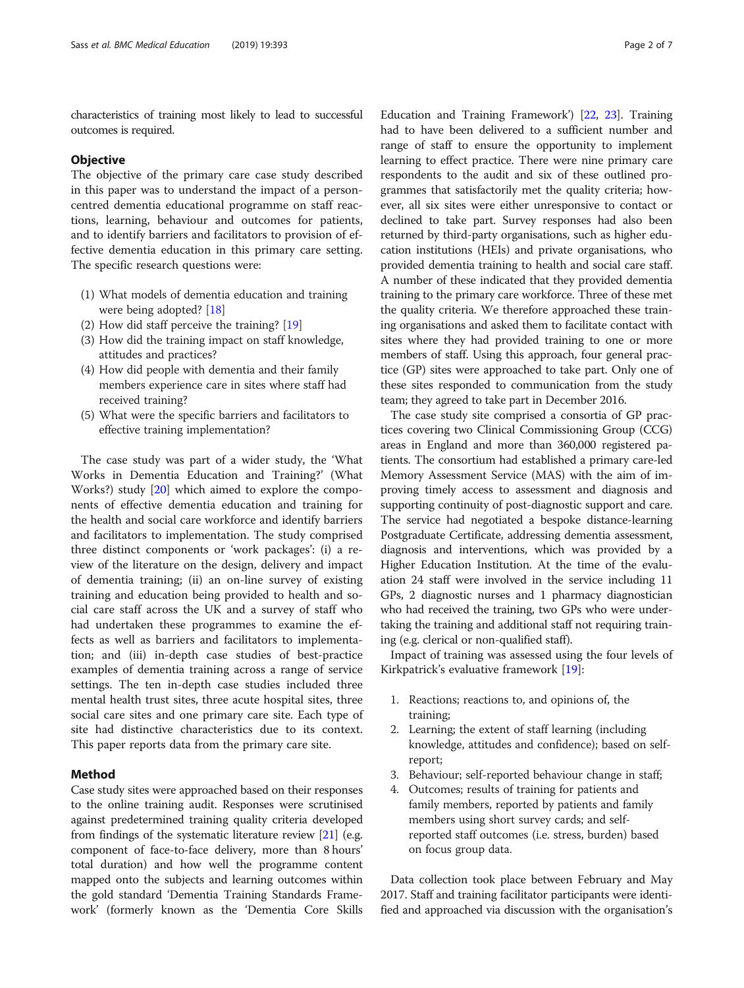characteristics of training most likely to lead to successful outcomes is required.

## **Objective**

The objective of the primary care case study described in this paper was to understand the impact of a personcentred dementia educational programme on staff reactions, learning, behaviour and outcomes for patients, and to identify barriers and facilitators to provision of effective dementia education in this primary care setting. The specific research questions were:

- (1) What models of dementia education and training were being adopted? [[18\]](#page-6-0)
- (2) How did staff perceive the training? [[19](#page-6-0)]
- (3) How did the training impact on staff knowledge, attitudes and practices?
- (4) How did people with dementia and their family members experience care in sites where staff had received training?
- (5) What were the specific barriers and facilitators to effective training implementation?

The case study was part of a wider study, the 'What Works in Dementia Education and Training?' (What Works?) study [\[20](#page-6-0)] which aimed to explore the components of effective dementia education and training for the health and social care workforce and identify barriers and facilitators to implementation. The study comprised three distinct components or 'work packages': (i) a review of the literature on the design, delivery and impact of dementia training; (ii) an on-line survey of existing training and education being provided to health and social care staff across the UK and a survey of staff who had undertaken these programmes to examine the effects as well as barriers and facilitators to implementation; and (iii) in-depth case studies of best-practice examples of dementia training across a range of service settings. The ten in-depth case studies included three mental health trust sites, three acute hospital sites, three social care sites and one primary care site. Each type of site had distinctive characteristics due to its context. This paper reports data from the primary care site.

## Method

Case study sites were approached based on their responses to the online training audit. Responses were scrutinised against predetermined training quality criteria developed from findings of the systematic literature review [\[21\]](#page-6-0) (e.g. component of face-to-face delivery, more than 8 hours' total duration) and how well the programme content mapped onto the subjects and learning outcomes within the gold standard 'Dementia Training Standards Framework' (formerly known as the 'Dementia Core Skills

Education and Training Framework') [[22](#page-6-0), [23\]](#page-6-0). Training had to have been delivered to a sufficient number and range of staff to ensure the opportunity to implement learning to effect practice. There were nine primary care respondents to the audit and six of these outlined programmes that satisfactorily met the quality criteria; however, all six sites were either unresponsive to contact or declined to take part. Survey responses had also been returned by third-party organisations, such as higher education institutions (HEIs) and private organisations, who provided dementia training to health and social care staff. A number of these indicated that they provided dementia training to the primary care workforce. Three of these met the quality criteria. We therefore approached these training organisations and asked them to facilitate contact with sites where they had provided training to one or more members of staff. Using this approach, four general practice (GP) sites were approached to take part. Only one of these sites responded to communication from the study team; they agreed to take part in December 2016.

The case study site comprised a consortia of GP practices covering two Clinical Commissioning Group (CCG) areas in England and more than 360,000 registered patients. The consortium had established a primary care-led Memory Assessment Service (MAS) with the aim of improving timely access to assessment and diagnosis and supporting continuity of post-diagnostic support and care. The service had negotiated a bespoke distance-learning Postgraduate Certificate, addressing dementia assessment, diagnosis and interventions, which was provided by a Higher Education Institution. At the time of the evaluation 24 staff were involved in the service including 11 GPs, 2 diagnostic nurses and 1 pharmacy diagnostician who had received the training, two GPs who were undertaking the training and additional staff not requiring training (e.g. clerical or non-qualified staff).

Impact of training was assessed using the four levels of Kirkpatrick's evaluative framework [[19\]](#page-6-0):

- 1. Reactions; reactions to, and opinions of, the training;
- 2. Learning; the extent of staff learning (including knowledge, attitudes and confidence); based on selfreport;
- 3. Behaviour; self-reported behaviour change in staff;
- Outcomes; results of training for patients and family members, reported by patients and family members using short survey cards; and selfreported staff outcomes (i.e. stress, burden) based on focus group data.

Data collection took place between February and May 2017. Staff and training facilitator participants were identified and approached via discussion with the organisation's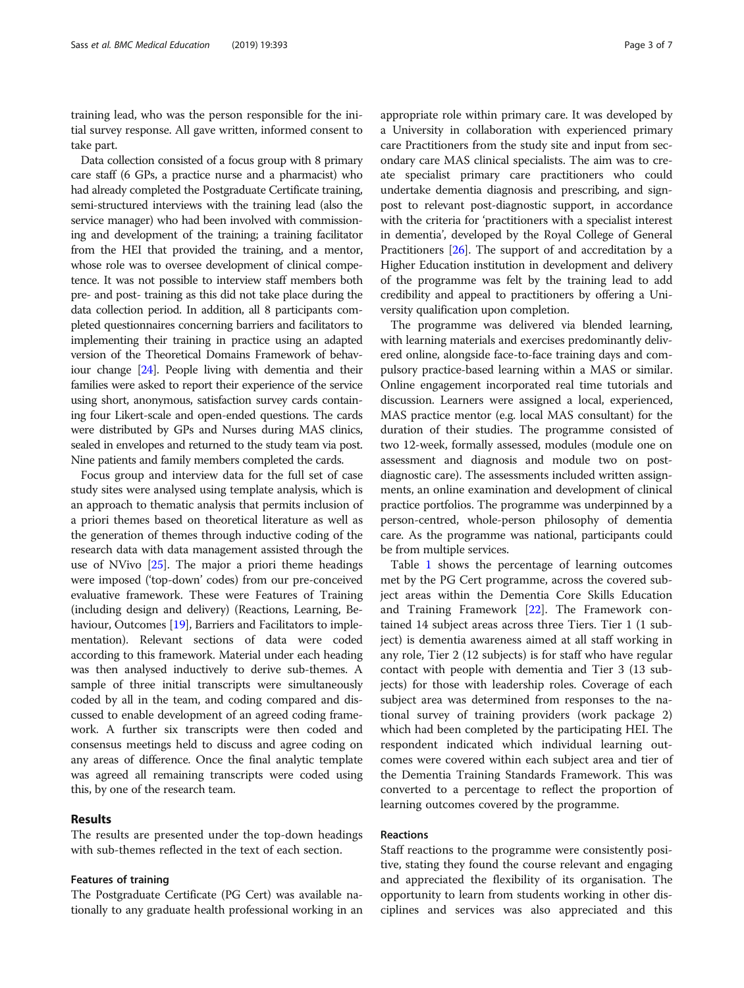training lead, who was the person responsible for the initial survey response. All gave written, informed consent to take part.

Data collection consisted of a focus group with 8 primary care staff (6 GPs, a practice nurse and a pharmacist) who had already completed the Postgraduate Certificate training, semi-structured interviews with the training lead (also the service manager) who had been involved with commissioning and development of the training; a training facilitator from the HEI that provided the training, and a mentor, whose role was to oversee development of clinical competence. It was not possible to interview staff members both pre- and post- training as this did not take place during the data collection period. In addition, all 8 participants completed questionnaires concerning barriers and facilitators to implementing their training in practice using an adapted version of the Theoretical Domains Framework of behaviour change [\[24](#page-6-0)]. People living with dementia and their families were asked to report their experience of the service using short, anonymous, satisfaction survey cards containing four Likert-scale and open-ended questions. The cards were distributed by GPs and Nurses during MAS clinics, sealed in envelopes and returned to the study team via post. Nine patients and family members completed the cards.

Focus group and interview data for the full set of case study sites were analysed using template analysis, which is an approach to thematic analysis that permits inclusion of a priori themes based on theoretical literature as well as the generation of themes through inductive coding of the research data with data management assisted through the use of NVivo [\[25\]](#page-6-0). The major a priori theme headings were imposed ('top-down' codes) from our pre-conceived evaluative framework. These were Features of Training (including design and delivery) (Reactions, Learning, Be-haviour, Outcomes [[19](#page-6-0)], Barriers and Facilitators to implementation). Relevant sections of data were coded according to this framework. Material under each heading was then analysed inductively to derive sub-themes. A sample of three initial transcripts were simultaneously coded by all in the team, and coding compared and discussed to enable development of an agreed coding framework. A further six transcripts were then coded and consensus meetings held to discuss and agree coding on any areas of difference. Once the final analytic template was agreed all remaining transcripts were coded using this, by one of the research team.

## Results

The results are presented under the top-down headings with sub-themes reflected in the text of each section.

## Features of training

The Postgraduate Certificate (PG Cert) was available nationally to any graduate health professional working in an appropriate role within primary care. It was developed by a University in collaboration with experienced primary care Practitioners from the study site and input from secondary care MAS clinical specialists. The aim was to create specialist primary care practitioners who could undertake dementia diagnosis and prescribing, and signpost to relevant post-diagnostic support, in accordance with the criteria for 'practitioners with a specialist interest in dementia', developed by the Royal College of General Practitioners [\[26\]](#page-6-0). The support of and accreditation by a Higher Education institution in development and delivery of the programme was felt by the training lead to add credibility and appeal to practitioners by offering a University qualification upon completion.

The programme was delivered via blended learning, with learning materials and exercises predominantly delivered online, alongside face-to-face training days and compulsory practice-based learning within a MAS or similar. Online engagement incorporated real time tutorials and discussion. Learners were assigned a local, experienced, MAS practice mentor (e.g. local MAS consultant) for the duration of their studies. The programme consisted of two 12-week, formally assessed, modules (module one on assessment and diagnosis and module two on postdiagnostic care). The assessments included written assignments, an online examination and development of clinical practice portfolios. The programme was underpinned by a person-centred, whole-person philosophy of dementia care. As the programme was national, participants could be from multiple services.

Table [1](#page-3-0) shows the percentage of learning outcomes met by the PG Cert programme, across the covered subject areas within the Dementia Core Skills Education and Training Framework [\[22](#page-6-0)]. The Framework contained 14 subject areas across three Tiers. Tier 1 (1 subject) is dementia awareness aimed at all staff working in any role, Tier 2 (12 subjects) is for staff who have regular contact with people with dementia and Tier 3 (13 subjects) for those with leadership roles. Coverage of each subject area was determined from responses to the national survey of training providers (work package 2) which had been completed by the participating HEI. The respondent indicated which individual learning outcomes were covered within each subject area and tier of the Dementia Training Standards Framework. This was converted to a percentage to reflect the proportion of learning outcomes covered by the programme.

## Reactions

Staff reactions to the programme were consistently positive, stating they found the course relevant and engaging and appreciated the flexibility of its organisation. The opportunity to learn from students working in other disciplines and services was also appreciated and this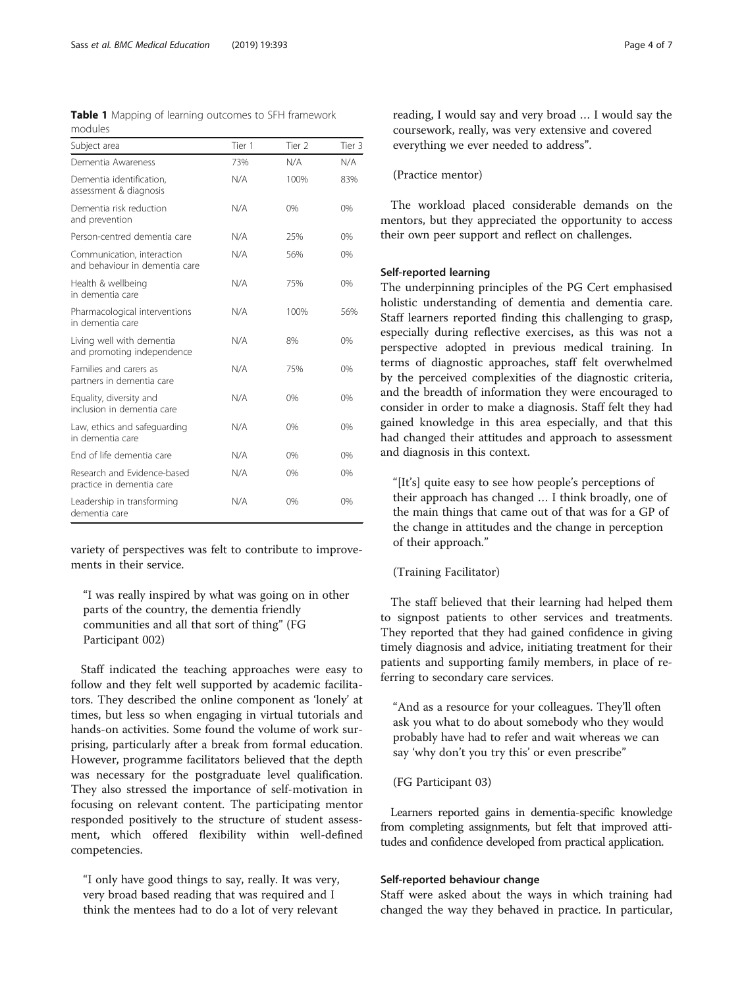<span id="page-3-0"></span>

|         |  |  | Table 1 Mapping of learning outcomes to SFH framework |
|---------|--|--|-------------------------------------------------------|
| modules |  |  |                                                       |

| Subject area                                                 | Tier 1 | Tier 2 | Tier 3 |
|--------------------------------------------------------------|--------|--------|--------|
| Dementia Awareness                                           | 73%    | N/A    | N/A    |
| Dementia identification,<br>assessment & diagnosis           | N/A    | 100%   | 83%    |
| Dementia risk reduction<br>and prevention                    | N/A    | 0%     | 0%     |
| Person-centred dementia care                                 | N/A    | 25%    | 0%     |
| Communication, interaction<br>and behaviour in dementia care | N/A    | 56%    | 0%     |
| Health & wellbeing<br>in dementia care                       | N/A    | 75%    | 0%     |
| Pharmacological interventions<br>in dementia care            | N/A    | 100%   | 56%    |
| Living well with dementia<br>and promoting independence      | N/A    | 8%     | 0%     |
| Families and carers as<br>partners in dementia care          | N/A    | 75%    | 0%     |
| Equality, diversity and<br>inclusion in dementia care        | N/A    | 0%     | 0%     |
| Law, ethics and safeguarding<br>in dementia care             | N/A    | 0%     | 0%     |
| End of life dementia care                                    | N/A    | 0%     | 0%     |
| Research and Evidence-based<br>practice in dementia care     | N/A    | 0%     | 0%     |
| Leadership in transforming<br>dementia care                  | N/A    | 0%     | 0%     |

variety of perspectives was felt to contribute to improvements in their service.

"I was really inspired by what was going on in other parts of the country, the dementia friendly communities and all that sort of thing" (FG Participant 002)

Staff indicated the teaching approaches were easy to follow and they felt well supported by academic facilitators. They described the online component as 'lonely' at times, but less so when engaging in virtual tutorials and hands-on activities. Some found the volume of work surprising, particularly after a break from formal education. However, programme facilitators believed that the depth was necessary for the postgraduate level qualification. They also stressed the importance of self-motivation in focusing on relevant content. The participating mentor responded positively to the structure of student assessment, which offered flexibility within well-defined competencies.

"I only have good things to say, really. It was very, very broad based reading that was required and I think the mentees had to do a lot of very relevant

reading, I would say and very broad … I would say the coursework, really, was very extensive and covered everything we ever needed to address".

(Practice mentor)

The workload placed considerable demands on the mentors, but they appreciated the opportunity to access their own peer support and reflect on challenges.

## Self-reported learning

The underpinning principles of the PG Cert emphasised holistic understanding of dementia and dementia care. Staff learners reported finding this challenging to grasp, especially during reflective exercises, as this was not a perspective adopted in previous medical training. In terms of diagnostic approaches, staff felt overwhelmed by the perceived complexities of the diagnostic criteria, and the breadth of information they were encouraged to consider in order to make a diagnosis. Staff felt they had gained knowledge in this area especially, and that this had changed their attitudes and approach to assessment and diagnosis in this context.

"[It's] quite easy to see how people's perceptions of their approach has changed … I think broadly, one of the main things that came out of that was for a GP of the change in attitudes and the change in perception of their approach."

## (Training Facilitator)

The staff believed that their learning had helped them to signpost patients to other services and treatments. They reported that they had gained confidence in giving timely diagnosis and advice, initiating treatment for their patients and supporting family members, in place of referring to secondary care services.

"And as a resource for your colleagues. They'll often ask you what to do about somebody who they would probably have had to refer and wait whereas we can say 'why don't you try this' or even prescribe"

## (FG Participant 03)

Learners reported gains in dementia-specific knowledge from completing assignments, but felt that improved attitudes and confidence developed from practical application.

## Self-reported behaviour change

Staff were asked about the ways in which training had changed the way they behaved in practice. In particular,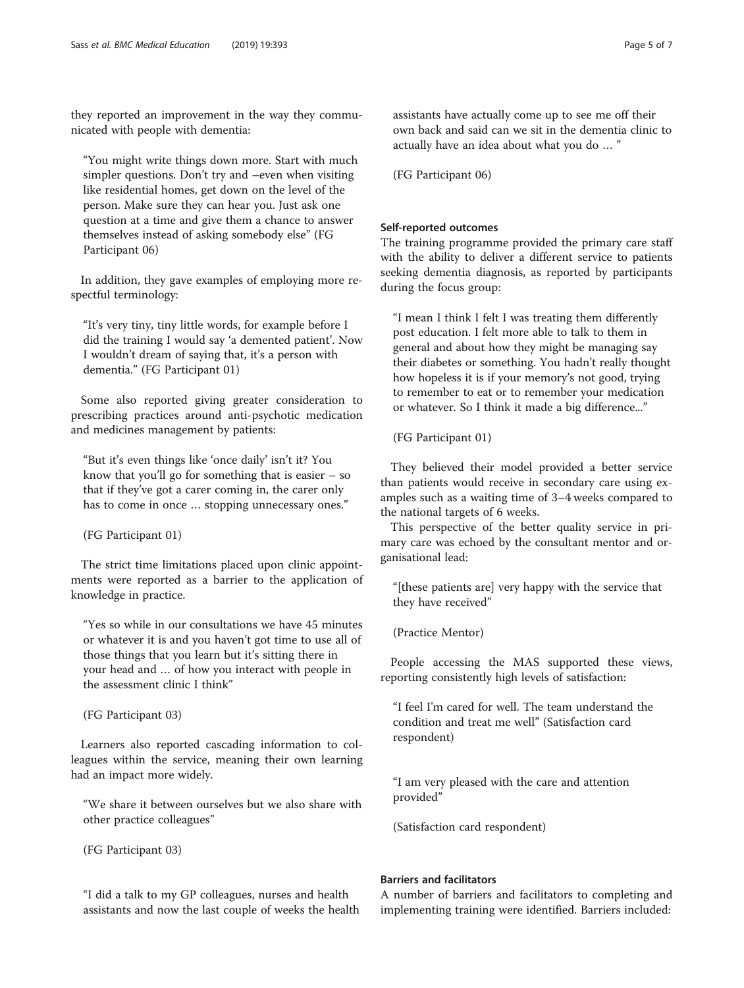they reported an improvement in the way they communicated with people with dementia:

"You might write things down more. Start with much simpler questions. Don't try and –even when visiting like residential homes, get down on the level of the person. Make sure they can hear you. Just ask one question at a time and give them a chance to answer themselves instead of asking somebody else" (FG Participant 06)

In addition, they gave examples of employing more respectful terminology:

"It's very tiny, tiny little words, for example before I did the training I would say 'a demented patient'. Now I wouldn't dream of saying that, it's a person with dementia." (FG Participant 01)

Some also reported giving greater consideration to prescribing practices around anti-psychotic medication and medicines management by patients:

"But it's even things like 'once daily' isn't it? You know that you'll go for something that is easier – so that if they've got a carer coming in, the carer only has to come in once … stopping unnecessary ones."

(FG Participant 01)

The strict time limitations placed upon clinic appointments were reported as a barrier to the application of knowledge in practice.

"Yes so while in our consultations we have 45 minutes or whatever it is and you haven't got time to use all of those things that you learn but it's sitting there in your head and … of how you interact with people in the assessment clinic I think"

(FG Participant 03)

Learners also reported cascading information to colleagues within the service, meaning their own learning had an impact more widely.

"We share it between ourselves but we also share with other practice colleagues"

(FG Participant 03)

"I did a talk to my GP colleagues, nurses and health assistants and now the last couple of weeks the health assistants have actually come up to see me off their own back and said can we sit in the dementia clinic to actually have an idea about what you do … "

(FG Participant 06)

## Self-reported outcomes

The training programme provided the primary care staff with the ability to deliver a different service to patients seeking dementia diagnosis, as reported by participants during the focus group:

"I mean I think I felt I was treating them differently post education. I felt more able to talk to them in general and about how they might be managing say their diabetes or something. You hadn't really thought how hopeless it is if your memory's not good, trying to remember to eat or to remember your medication or whatever. So I think it made a big difference..."

(FG Participant 01)

They believed their model provided a better service than patients would receive in secondary care using examples such as a waiting time of 3–4 weeks compared to the national targets of 6 weeks.

This perspective of the better quality service in primary care was echoed by the consultant mentor and organisational lead:

"[these patients are] very happy with the service that they have received"

(Practice Mentor)

People accessing the MAS supported these views, reporting consistently high levels of satisfaction:

"I feel I'm cared for well. The team understand the condition and treat me well" (Satisfaction card respondent)

"I am very pleased with the care and attention provided"

(Satisfaction card respondent)

## Barriers and facilitators

A number of barriers and facilitators to completing and implementing training were identified. Barriers included: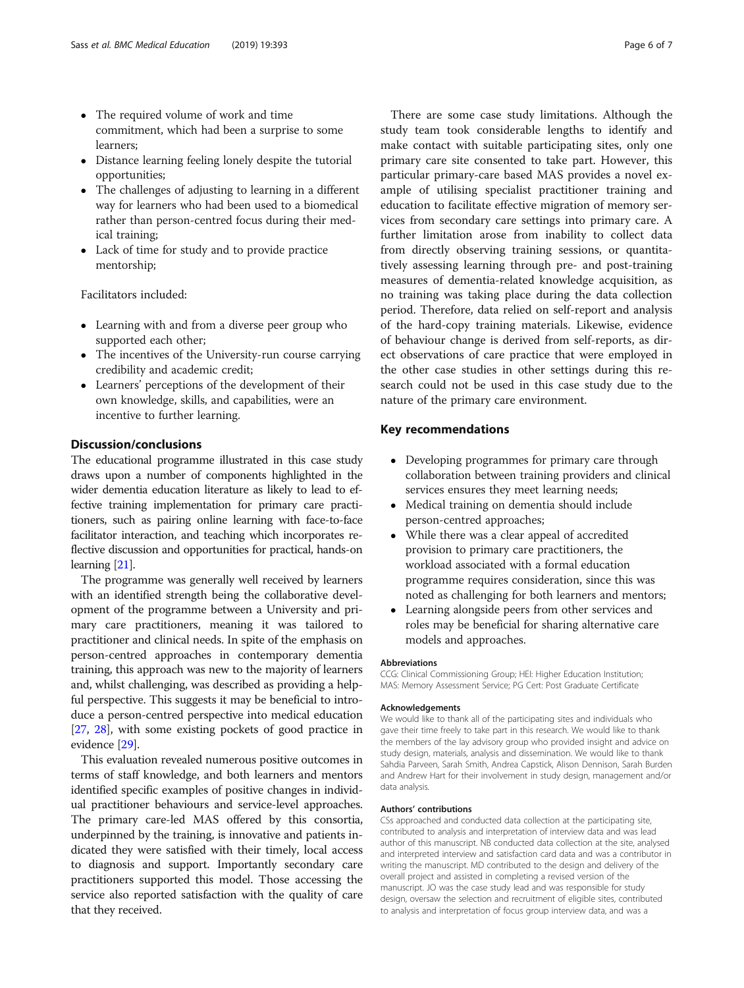- The required volume of work and time commitment, which had been a surprise to some learners;
- Distance learning feeling lonely despite the tutorial opportunities;
- The challenges of adjusting to learning in a different way for learners who had been used to a biomedical rather than person-centred focus during their medical training;
- Lack of time for study and to provide practice mentorship;

Facilitators included:

- Learning with and from a diverse peer group who supported each other;
- The incentives of the University-run course carrying credibility and academic credit;
- Learners' perceptions of the development of their own knowledge, skills, and capabilities, were an incentive to further learning.

## Discussion/conclusions

The educational programme illustrated in this case study draws upon a number of components highlighted in the wider dementia education literature as likely to lead to effective training implementation for primary care practitioners, such as pairing online learning with face-to-face facilitator interaction, and teaching which incorporates reflective discussion and opportunities for practical, hands-on learning [\[21](#page-6-0)].

The programme was generally well received by learners with an identified strength being the collaborative development of the programme between a University and primary care practitioners, meaning it was tailored to practitioner and clinical needs. In spite of the emphasis on person-centred approaches in contemporary dementia training, this approach was new to the majority of learners and, whilst challenging, was described as providing a helpful perspective. This suggests it may be beneficial to introduce a person-centred perspective into medical education [[27](#page-6-0), [28](#page-6-0)], with some existing pockets of good practice in evidence [\[29\]](#page-6-0).

This evaluation revealed numerous positive outcomes in terms of staff knowledge, and both learners and mentors identified specific examples of positive changes in individual practitioner behaviours and service-level approaches. The primary care-led MAS offered by this consortia, underpinned by the training, is innovative and patients indicated they were satisfied with their timely, local access to diagnosis and support. Importantly secondary care practitioners supported this model. Those accessing the service also reported satisfaction with the quality of care that they received.

There are some case study limitations. Although the study team took considerable lengths to identify and make contact with suitable participating sites, only one primary care site consented to take part. However, this particular primary-care based MAS provides a novel example of utilising specialist practitioner training and education to facilitate effective migration of memory services from secondary care settings into primary care. A further limitation arose from inability to collect data from directly observing training sessions, or quantitatively assessing learning through pre- and post-training measures of dementia-related knowledge acquisition, as no training was taking place during the data collection period. Therefore, data relied on self-report and analysis of the hard-copy training materials. Likewise, evidence of behaviour change is derived from self-reports, as direct observations of care practice that were employed in the other case studies in other settings during this research could not be used in this case study due to the nature of the primary care environment.

## Key recommendations

- Developing programmes for primary care through collaboration between training providers and clinical services ensures they meet learning needs;
- Medical training on dementia should include person-centred approaches;
- While there was a clear appeal of accredited provision to primary care practitioners, the workload associated with a formal education programme requires consideration, since this was noted as challenging for both learners and mentors;
- Learning alongside peers from other services and roles may be beneficial for sharing alternative care models and approaches.

#### Abbreviations

CCG: Clinical Commissioning Group; HEI: Higher Education Institution; MAS: Memory Assessment Service; PG Cert: Post Graduate Certificate

#### Acknowledgements

We would like to thank all of the participating sites and individuals who gave their time freely to take part in this research. We would like to thank the members of the lay advisory group who provided insight and advice on study design, materials, analysis and dissemination. We would like to thank Sahdia Parveen, Sarah Smith, Andrea Capstick, Alison Dennison, Sarah Burden and Andrew Hart for their involvement in study design, management and/or data analysis.

#### Authors' contributions

CSs approached and conducted data collection at the participating site, contributed to analysis and interpretation of interview data and was lead author of this manuscript. NB conducted data collection at the site, analysed and interpreted interview and satisfaction card data and was a contributor in writing the manuscript. MD contributed to the design and delivery of the overall project and assisted in completing a revised version of the manuscript. JO was the case study lead and was responsible for study design, oversaw the selection and recruitment of eligible sites, contributed to analysis and interpretation of focus group interview data, and was a